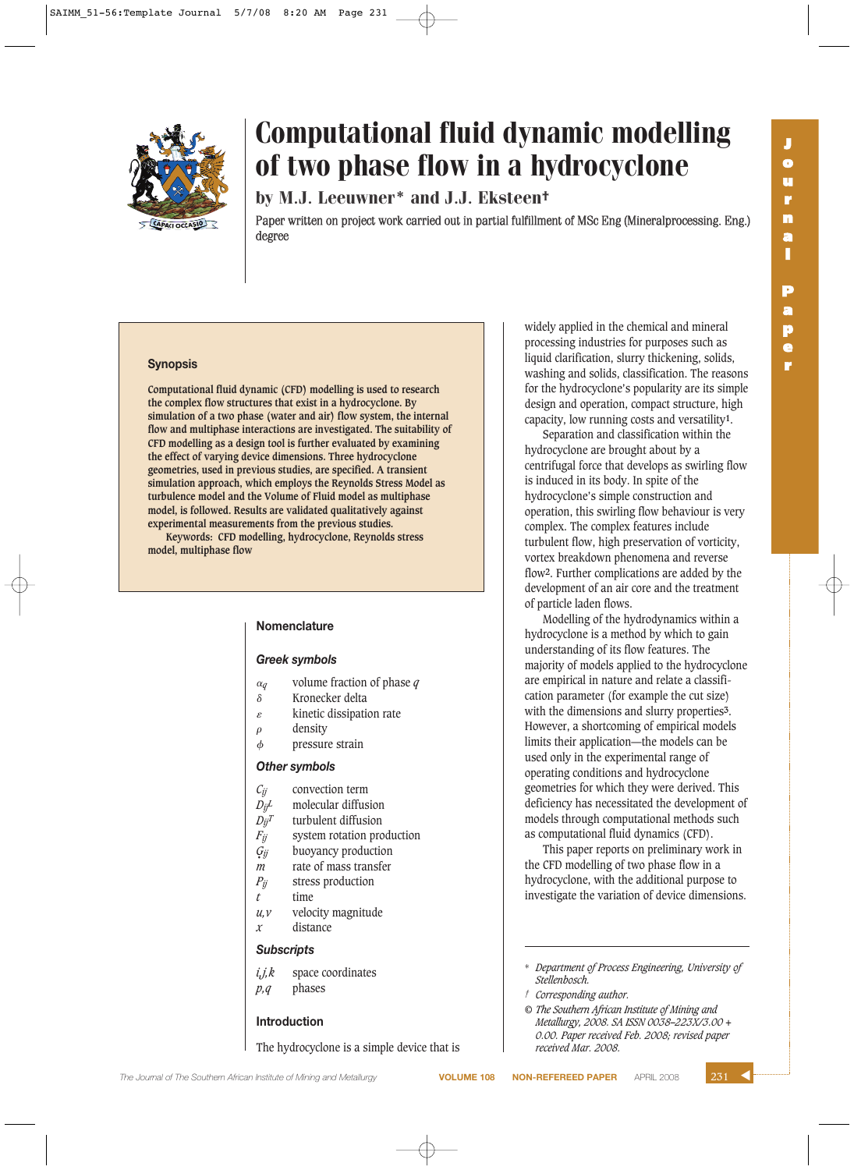



by M.J. Leeuwner\* and J.J. Eksteen†

Paper written on project work carried out in partial fulfillment of MSc Eng (Mineralprocessing. Eng.) degree

## **Synopsis**

**Computational fluid dynamic (CFD) modelling is used to research the complex flow structures that exist in a hydrocyclone. By simulation of a two phase (water and air) flow system, the internal flow and multiphase interactions are investigated. The suitability of CFD modelling as a design tool is further evaluated by examining the effect of varying device dimensions. Three hydrocyclone geometries, used in previous studies, are specified. A transient simulation approach, which employs the Reynolds Stress Model as turbulence model and the Volume of Fluid model as multiphase model, is followed. Results are validated qualitatively against experimental measurements from the previous studies. Keywords: CFD modelling, hydrocyclone, Reynolds stress**

**model, multiphase flow**

# **Nomenclature**

### *Greek symbols*

- $\alpha$ <sub>q</sub> *<sup>q</sup>* volume fraction of phase *q*
- $\delta$  Kronecker delta
- $\varepsilon$  kinetic dissipation rate
- $\rho$  density
- pressure strain

# *Other symbols*

- *Cij* convection term
- *DijL* molecular diffusion
- $D_{ij}T$  turbulent diffusion
- *F<sub>ij</sub>* system rotation production
- buoyancy production •
- *m* rate of mass transfer
- *Pij* stress production
- *t* time
- *u,v* velocity magnitude *x* distance

#### *Subscripts*

*i,j,k* space coordinates *p,q* phases

#### **Introduction**

The hydrocyclone is a simple device that is

widely applied in the chemical and mineral processing industries for purposes such as liquid clarification, slurry thickening, solids, washing and solids, classification. The reasons for the hydrocyclone's popularity are its simple design and operation, compact structure, high capacity, low running costs and versatility**1**.

Separation and classification within the hydrocyclone are brought about by a centrifugal force that develops as swirling flow is induced in its body. In spite of the hydrocyclone's simple construction and operation, this swirling flow behaviour is very complex. The complex features include turbulent flow, high preservation of vorticity, vortex breakdown phenomena and reverse flow**2**. Further complications are added by the development of an air core and the treatment of particle laden flows.

Modelling of the hydrodynamics within a hydrocyclone is a method by which to gain understanding of its flow features. The majority of models applied to the hydrocyclone are empirical in nature and relate a classification parameter (for example the cut size) with the dimensions and slurry properties**3**. However, a shortcoming of empirical models limits their application—the models can be used only in the experimental range of operating conditions and hydrocyclone geometries for which they were derived. This deficiency has necessitated the development of models through computational methods such as computational fluid dynamics (CFD).

This paper reports on preliminary work in the CFD modelling of two phase flow in a hydrocyclone, with the additional purpose to investigate the variation of device dimensions.

- \* *Department of Process Engineering, University of Stellenbosch.*
- *† Corresponding author.*
- *© The Southern African Institute of Mining and Metallurgy, 2008. SA ISSN 0038–223X/3.00 + 0.00. Paper received Feb. 2008; revised paper received Mar. 2008.*

**The Journal of The Southern African Institute of Mining and Metallurgy <b>VOLUME 108 NON-REFEREED PAPER** APRIL 2008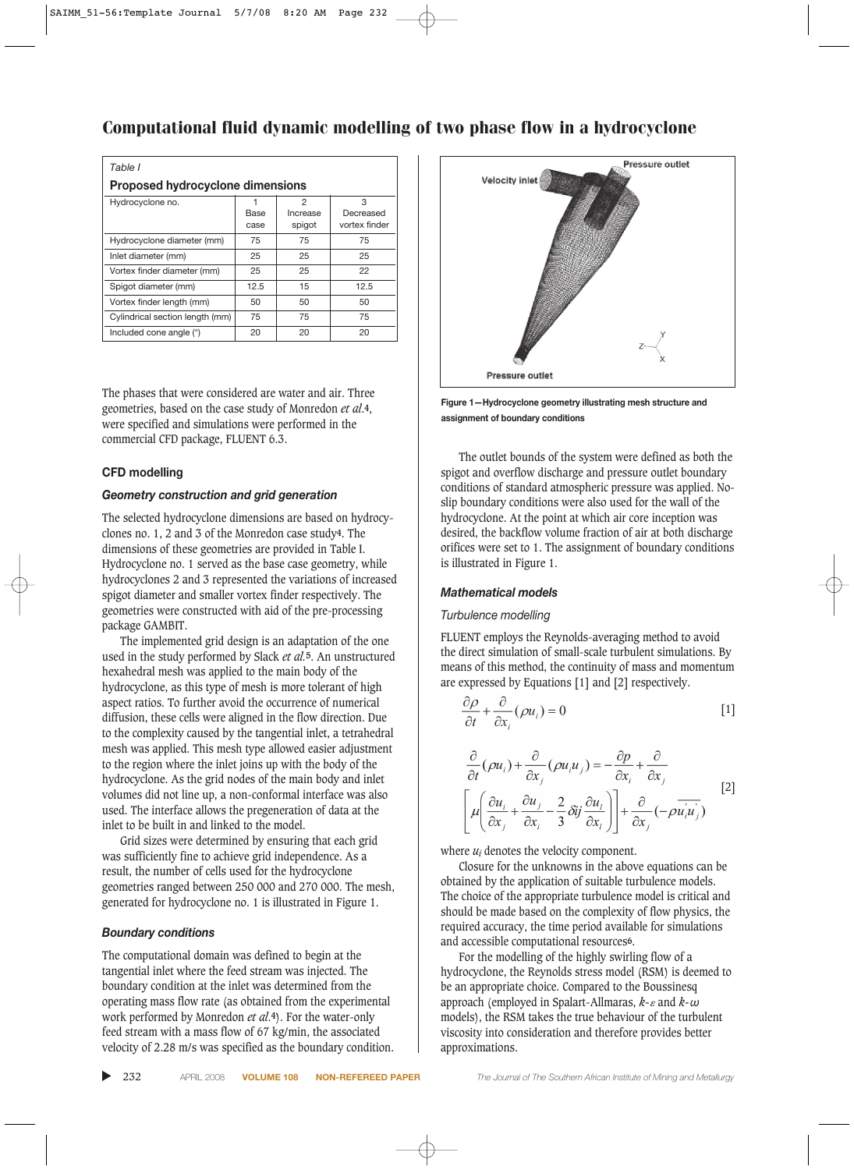| Table I                                 |              |                         |                                 |
|-----------------------------------------|--------------|-------------------------|---------------------------------|
| <b>Proposed hydrocyclone dimensions</b> |              |                         |                                 |
| Hydrocyclone no.                        | Base<br>case | 2<br>Increase<br>spigot | 3<br>Decreased<br>vortex finder |
| Hydrocyclone diameter (mm)              | 75           | 75                      | 75                              |
| Inlet diameter (mm)                     | 25           | 25                      | 25                              |
| Vortex finder diameter (mm)             | 25           | 25                      | 22                              |
| Spigot diameter (mm)                    | 12.5         | 15                      | 12.5                            |
| Vortex finder length (mm)               | 50           | 50                      | 50                              |
| Cylindrical section length (mm)         | 75           | 75                      | 75                              |
| Included cone angle (°)                 | 20           | 20                      | 20                              |

The phases that were considered are water and air. Three geometries, based on the case study of Monredon *et al*.**4**, were specified and simulations were performed in the commercial CFD package, FLUENT 6.3.

# **CFD modelling**

# *Geometry construction and grid generation*

The selected hydrocyclone dimensions are based on hydrocyclones no. 1, 2 and 3 of the Monredon case study**4**. The dimensions of these geometries are provided in Table I. Hydrocyclone no. 1 served as the base case geometry, while hydrocyclones 2 and 3 represented the variations of increased spigot diameter and smaller vortex finder respectively. The geometries were constructed with aid of the pre-processing package GAMBIT.

The implemented grid design is an adaptation of the one used in the study performed by Slack *et al.***5**. An unstructured hexahedral mesh was applied to the main body of the hydrocyclone, as this type of mesh is more tolerant of high aspect ratios. To further avoid the occurrence of numerical diffusion, these cells were aligned in the flow direction. Due to the complexity caused by the tangential inlet, a tetrahedral mesh was applied. This mesh type allowed easier adjustment to the region where the inlet joins up with the body of the hydrocyclone. As the grid nodes of the main body and inlet volumes did not line up, a non-conformal interface was also used. The interface allows the pregeneration of data at the inlet to be built in and linked to the model.

Grid sizes were determined by ensuring that each grid was sufficiently fine to achieve grid independence. As a result, the number of cells used for the hydrocyclone geometries ranged between 250 000 and 270 000. The mesh, generated for hydrocyclone no. 1 is illustrated in Figure 1.

## *Boundary conditions*

The computational domain was defined to begin at the tangential inlet where the feed stream was injected. The boundary condition at the inlet was determined from the operating mass flow rate (as obtained from the experimental work performed by Monredon *et al*.**4**). For the water-only feed stream with a mass flow of 67 kg/min, the associated velocity of 2.28 m/s was specified as the boundary condition.



**Figure 1—Hydrocyclone geometry illustrating mesh structure and assignment of boundary conditions**

The outlet bounds of the system were defined as both the spigot and overflow discharge and pressure outlet boundary conditions of standard atmospheric pressure was applied. Noslip boundary conditions were also used for the wall of the hydrocyclone. At the point at which air core inception was desired, the backflow volume fraction of air at both discharge orifices were set to 1. The assignment of boundary conditions is illustrated in Figure 1.

## *Mathematical models*

# *Turbulence modelling*

FLUENT employs the Reynolds-averaging method to avoid the direct simulation of small-scale turbulent simulations. By means of this method, the continuity of mass and momentum are expressed by Equations [1] and [2] respectively.

$$
\frac{\partial \rho}{\partial t} + \frac{\partial}{\partial x_i} (\rho u_i) = 0
$$
 [1]

$$
\frac{\partial}{\partial t}(\rho u_i) + \frac{\partial}{\partial x_j}(\rho u_i u_j) = -\frac{\partial p}{\partial x_i} + \frac{\partial}{\partial x_j}
$$
\n
$$
\left[ \mu \left( \frac{\partial u_i}{\partial x_j} + \frac{\partial u_j}{\partial x_i} - \frac{2}{3} \delta i j \frac{\partial u_i}{\partial x_i} \right) \right] + \frac{\partial}{\partial x_j} (-\rho \overline{u_i u_j})
$$
\n[2]

where  $u_i$  denotes the velocity component.

Closure for the unknowns in the above equations can be obtained by the application of suitable turbulence models. The choice of the appropriate turbulence model is critical and should be made based on the complexity of flow physics, the required accuracy, the time period available for simulations and accessible computational resources**6**.

For the modelling of the highly swirling flow of a hydrocyclone, the Reynolds stress model (RSM) is deemed to be an appropriate choice. Compared to the Boussinesq approach (employed in Spalart-Allmaras, *k-* and *k-*<sup>ω</sup> models), the RSM takes the true behaviour of the turbulent viscosity into consideration and therefore provides better approximations.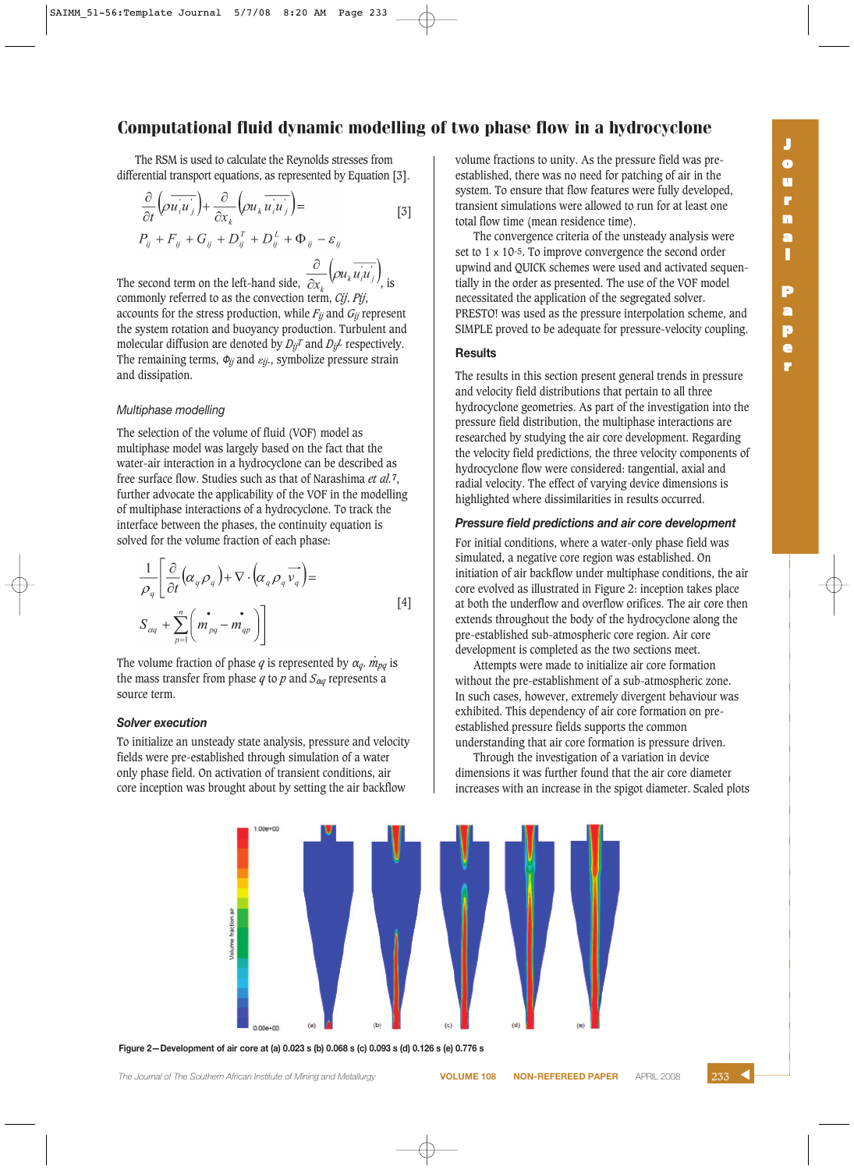The RSM is used to calculate the Reynolds stresses from differential transport equations, as represented by Equation [3].

$$
\frac{\partial}{\partial t} \left( \rho \overrightarrow{u_i u_j} \right) + \frac{\partial}{\partial x_k} \left( \rho u_k \overrightarrow{u_i u_j} \right) =
$$
\n
$$
P_{ij} + F_{ij} + G_{ij} + D_{ij}^T + D_{ij}^L + \Phi_{ij} - \varepsilon_{ij}
$$
\n
$$
(3)
$$

The second term on the left-hand side,  $\frac{\partial}{\partial x_k} \left( \rho u_k \overline{u_i u_j} \right)$ , is commonly referred to as the convection term, *Cij*. *Pij*, accounts for the stress production, while *Fij* and *Gij* represent the system rotation and buoyancy production. Turbulent and molecular diffusion are denoted by *DijT* and *DijL* respectively. The remaining terms,  $\Phi_{jj}$  and  $\varepsilon_{jj}$ , symbolize pressure strain and dissipation.

# *Multiphase modelling*

The selection of the volume of fluid (VOF) model as multiphase model was largely based on the fact that the water-air interaction in a hydrocyclone can be described as free surface flow. Studies such as that of Narashima *et al.***7**, further advocate the applicability of the VOF in the modelling of multiphase interactions of a hydrocyclone. To track the interface between the phases, the continuity equation is solved for the volume fraction of each phase:

$$
\frac{1}{\rho_q} \left[ \frac{\partial}{\partial t} \left( \alpha_q \rho_q \right) + \nabla \cdot \left( \alpha_q \rho_q \overrightarrow{v_q} \right) = \\ S_{\alpha q} + \sum_{p=1}^n \left( \overrightarrow{m}_{pq} - \overrightarrow{m}_{qp} \right) \right]
$$
\n
$$
(4)
$$

The volume fraction of phase *q* is represented by  $\alpha_q$ .  $\dot{m}_{pq}$  is the mass transfer from phase  $q$  to  $p$  and  $S_{\alpha q}$  represents a source term.

# *Solver execution*

To initialize an unsteady state analysis, pressure and velocity fields were pre-established through simulation of a water only phase field. On activation of transient conditions, air core inception was brought about by setting the air backflow

volume fractions to unity. As the pressure field was preestablished, there was no need for patching of air in the system. To ensure that flow features were fully developed, transient simulations were allowed to run for at least one total flow time (mean residence time).

The convergence criteria of the unsteady analysis were set to 1 x 10-5. To improve convergence the second order upwind and QUICK schemes were used and activated sequentially in the order as presented. The use of the VOF model necessitated the application of the segregated solver. PRESTO! was used as the pressure interpolation scheme, and SIMPLE proved to be adequate for pressure-velocity coupling.

# **Results**

The results in this section present general trends in pressure and velocity field distributions that pertain to all three hydrocyclone geometries. As part of the investigation into the pressure field distribution, the multiphase interactions are researched by studying the air core development. Regarding the velocity field predictions, the three velocity components of hydrocyclone flow were considered: tangential, axial and radial velocity. The effect of varying device dimensions is highlighted where dissimilarities in results occurred.

# *Pressure field predictions and air core development*

For initial conditions, where a water-only phase field was simulated, a negative core region was established. On initiation of air backflow under multiphase conditions, the air core evolved as illustrated in Figure 2: inception takes place at both the underflow and overflow orifices. The air core then extends throughout the body of the hydrocyclone along the pre-established sub-atmospheric core region. Air core development is completed as the two sections meet.

Attempts were made to initialize air core formation without the pre-establishment of a sub-atmospheric zone. In such cases, however, extremely divergent behaviour was exhibited. This dependency of air core formation on preestablished pressure fields supports the common understanding that air core formation is pressure driven.

Through the investigation of a variation in device dimensions it was further found that the air core diameter increases with an increase in the spigot diameter. Scaled plots



**Figure 2—Development of air core at (a) 0.023 s (b) 0.068 s (c) 0.093 s (d) 0.126 s (e) 0.776 s**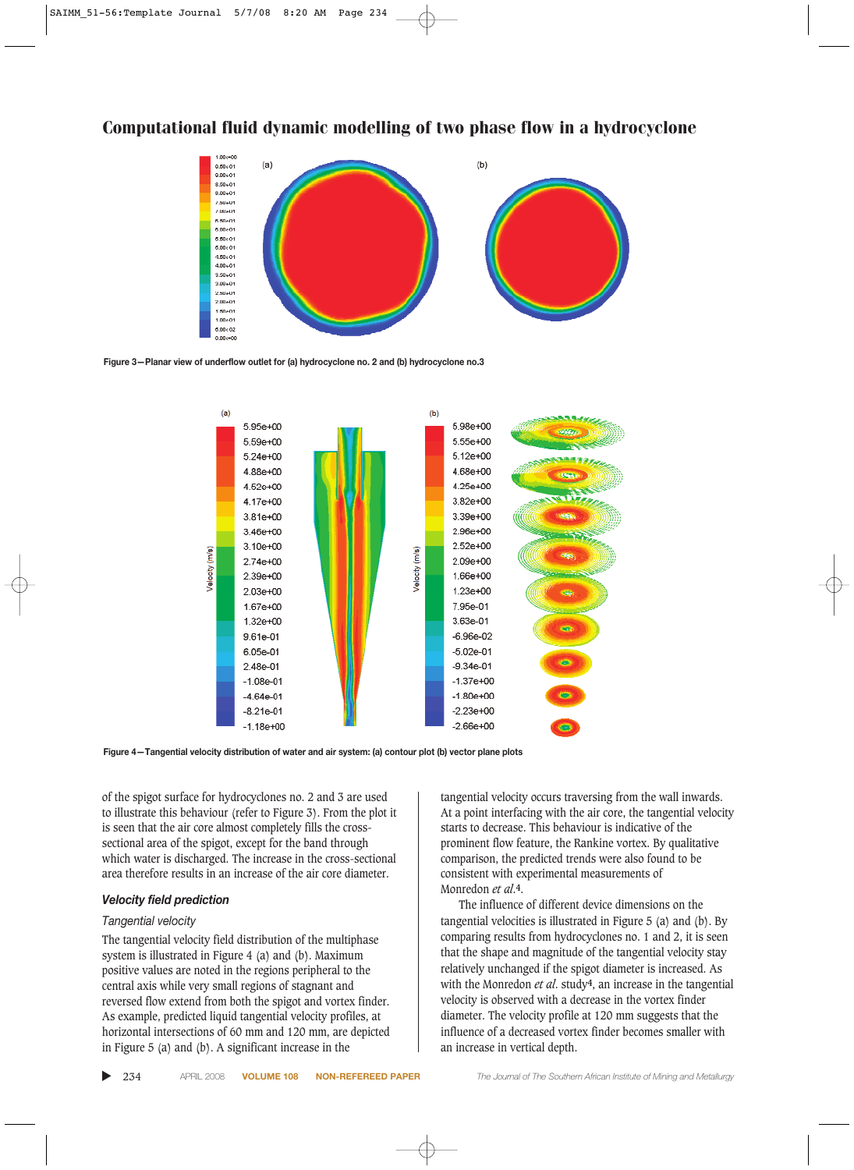







of the spigot surface for hydrocyclones no. 2 and 3 are used to illustrate this behaviour (refer to Figure 3). From the plot it is seen that the air core almost completely fills the crosssectional area of the spigot, except for the band through which water is discharged. The increase in the cross-sectional area therefore results in an increase of the air core diameter.

#### *Velocity field prediction*

# *Tangential velocity*

The tangential velocity field distribution of the multiphase system is illustrated in Figure 4 (a) and (b). Maximum positive values are noted in the regions peripheral to the central axis while very small regions of stagnant and reversed flow extend from both the spigot and vortex finder. As example, predicted liquid tangential velocity profiles, at horizontal intersections of 60 mm and 120 mm, are depicted in Figure 5 (a) and (b). A significant increase in the

tangential velocity occurs traversing from the wall inwards. At a point interfacing with the air core, the tangential velocity starts to decrease. This behaviour is indicative of the prominent flow feature, the Rankine vortex. By qualitative comparison, the predicted trends were also found to be consistent with experimental measurements of Monredon *et al*.**4**.

The influence of different device dimensions on the tangential velocities is illustrated in Figure 5 (a) and (b). By comparing results from hydrocyclones no. 1 and 2, it is seen that the shape and magnitude of the tangential velocity stay relatively unchanged if the spigot diameter is increased. As with the Monredon *et al*. study**4**, an increase in the tangential velocity is observed with a decrease in the vortex finder diameter. The velocity profile at 120 mm suggests that the influence of a decreased vortex finder becomes smaller with an increase in vertical depth.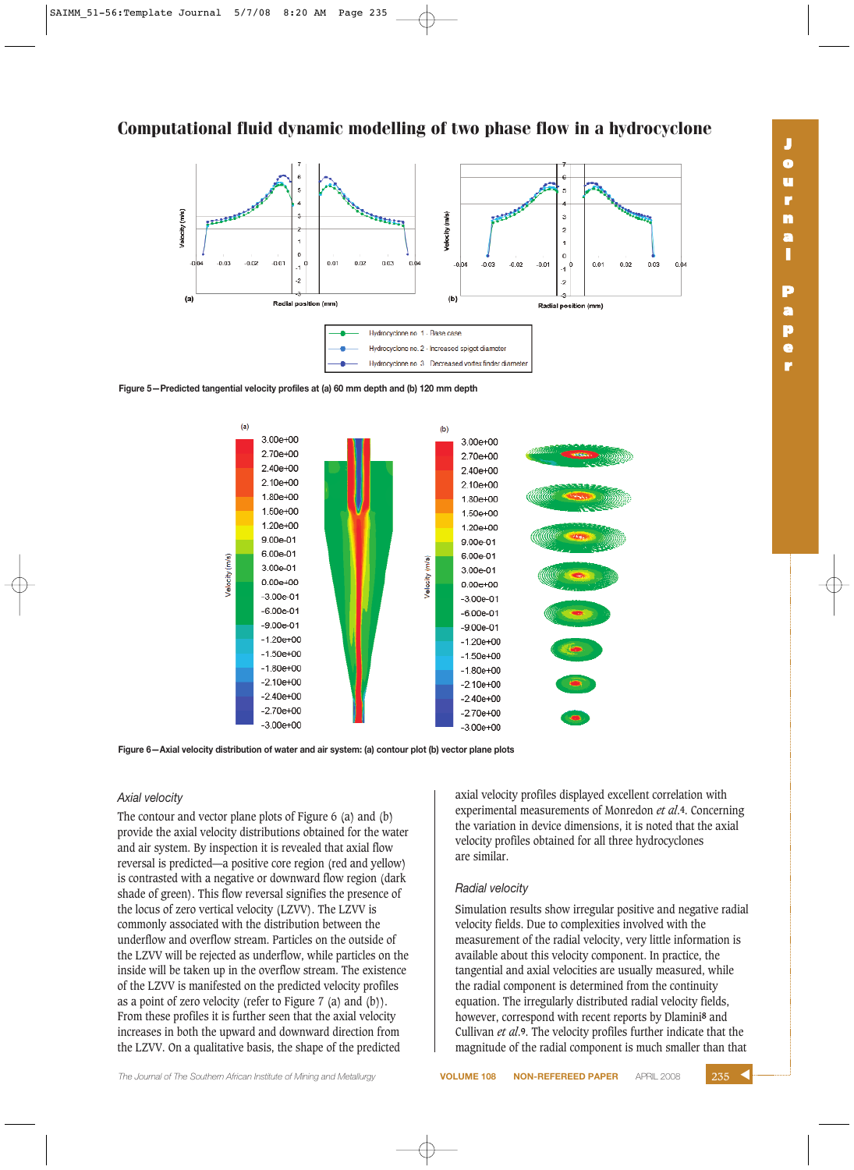Ferreren **The American St** Velocity (m's) فليتنبز (m/s)  $\rightarrow$ /elocity  $0.03$  $-0.03$  $-0.02$  $-0.01$  $0.01$  $0.02$  $0.01$  $0.03$  $\cdot$ 1 $^0$  $0.04$  $-0.03$  $-0.02$  $-0.01$  $0.02$  $(a)$  $(b)$ Radial position (n Radial position (mm) Hydrocyclone no 1 - Base case Hydrocyclone no. 2 - Increased spigot diameter Hydrocyclone no 3 Decreased vortex finder diame

**Figure 5—Predicted tangential velocity profiles at (a) 60 mm depth and (b) 120 mm depth**



**Figure 6—Axial velocity distribution of water and air system: (a) contour plot (b) vector plane plots**

# *Axial velocity*

The contour and vector plane plots of Figure 6 (a) and (b) provide the axial velocity distributions obtained for the water and air system. By inspection it is revealed that axial flow reversal is predicted—a positive core region (red and yellow) is contrasted with a negative or downward flow region (dark shade of green). This flow reversal signifies the presence of the locus of zero vertical velocity (LZVV). The LZVV is commonly associated with the distribution between the underflow and overflow stream. Particles on the outside of the LZVV will be rejected as underflow, while particles on the inside will be taken up in the overflow stream. The existence of the LZVV is manifested on the predicted velocity profiles as a point of zero velocity (refer to Figure 7 (a) and (b)). From these profiles it is further seen that the axial velocity increases in both the upward and downward direction from the LZVV. On a qualitative basis, the shape of the predicted

axial velocity profiles displayed excellent correlation with experimental measurements of Monredon *et al*.**4**. Concerning the variation in device dimensions, it is noted that the axial velocity profiles obtained for all three hydrocyclones are similar.

#### *Radial velocity*

Simulation results show irregular positive and negative radial velocity fields. Due to complexities involved with the measurement of the radial velocity, very little information is available about this velocity component. In practice, the tangential and axial velocities are usually measured, while the radial component is determined from the continuity equation. The irregularly distributed radial velocity fields, however, correspond with recent reports by Dlamini**8** and Cullivan *et al*.**9**. The velocity profiles further indicate that the magnitude of the radial component is much smaller than that

 $0.0$ 

**r**

**J**